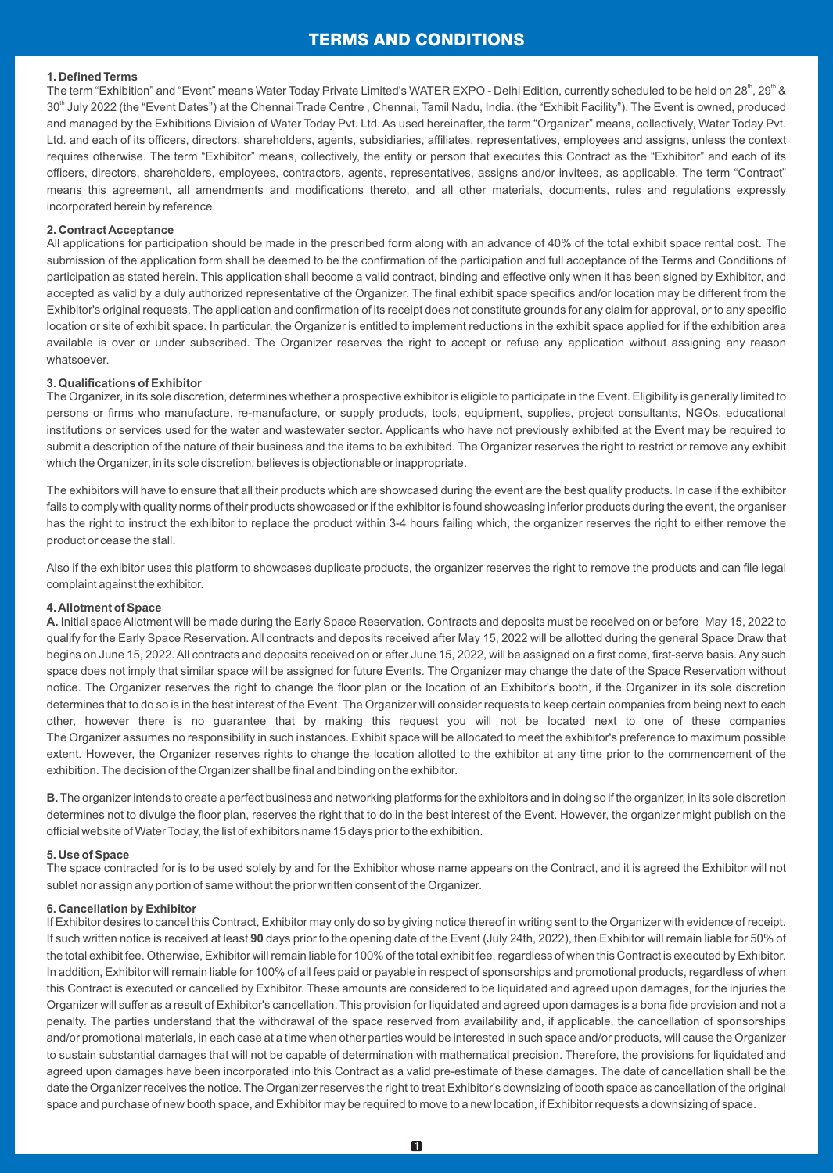# TERMS AND CONDITIONS

#### **1. Defined Terms**

The term "Exhibition" and "Event" means Water Today Private Limited's WATER EXPO - Delhi Edition, currently scheduled to be held on 28<sup>th</sup>, 29<sup>th</sup> & 30<sup>th</sup> July 2022 (the "Event Dates") at the Chennai Trade Centre, Chennai, Tamil Nadu, India. (the "Exhibit Facility"). The Event is owned, produced and managed by the Exhibitions Division of Water Today Pvt. Ltd. As used hereinafter, the term "Organizer" means, collectively, Water Today Pvt. Ltd. and each of its officers, directors, shareholders, agents, subsidiaries, affiliates, representatives, employees and assigns, unless the context requires otherwise. The term "Exhibitor" means, collectively, the entity or person that executes this Contract as the "Exhibitor" and each of its officers, directors, shareholders, employees, contractors, agents, representatives, assigns and/or invitees, as applicable. The term "Contract" means this agreement, all amendments and modifications thereto, and all other materials, documents, rules and regulations expressly incorporated herein by reference.

#### **2. Contract Acceptance**

All applications for participation should be made in the prescribed form along with an advance of 40% of the total exhibit space rental cost. The submission of the application form shall be deemed to be the confirmation of the participation and full acceptance of the Terms and Conditions of participation as stated herein. This application shall become a valid contract, binding and effective only when it has been signed by Exhibitor, and accepted as valid by a duly authorized representative of the Organizer. The final exhibit space specifics and/or location may be different from the Exhibitor's original requests. The application and confirmation of its receipt does not constitute grounds for any claim for approval, or to any specific location or site of exhibit space. In particular, the Organizer is entitled to implement reductions in the exhibit space applied for if the exhibition area available is over or under subscribed. The Organizer reserves the right to accept or refuse any application without assigning any reason whatsoever.

#### **3. Qualifications of Exhibitor**

The Organizer, in its sole discretion, determines whether a prospective exhibitor is eligible to participate in the Event. Eligibility is generally limited to persons or firms who manufacture, re-manufacture, or supply products, tools, equipment, supplies, project consultants, NGOs, educational institutions or services used for the water and wastewater sector. Applicants who have not previously exhibited at the Event may be required to submit a description of the nature of their business and the items to be exhibited. The Organizer reserves the right to restrict or remove any exhibit which the Organizer, in its sole discretion, believes is objectionable or inappropriate.

The exhibitors will have to ensure that all their products which are showcased during the event are the best quality products. In case if the exhibitor fails to comply with quality norms of their products showcased or if the exhibitor is found showcasing inferior products during the event, the organiser has the right to instruct the exhibitor to replace the product within 3-4 hours failing which, the organizer reserves the right to either remove the product or cease the stall.

Also if the exhibitor uses this platform to showcases duplicate products, the organizer reserves the right to remove the products and can file legal complaint against the exhibitor.

#### **4. Allotment of Space**

**A.** Initial space Allotment will be made during the Early Space Reservation. Contracts and deposits must be received on or before May 15, 2022 to qualify for the Early Space Reservation. All contracts and deposits received after May 15, 2022 will be allotted during the general Space Draw that begins on June 15, 2022. All contracts and deposits received on or after June 15, 2022, will be assigned on a first come, first-serve basis. Any such space does not imply that similar space will be assigned for future Events. The Organizer may change the date of the Space Reservation without notice. The Organizer reserves the right to change the floor plan or the location of an Exhibitor's booth, if the Organizer in its sole discretion determines that to do so is in the best interest of the Event. The Organizer will consider requests to keep certain companies from being next to each other, however there is no guarantee that by making this request you will not be located next to one of these companies The Organizer assumes no responsibility in such instances. Exhibit space will be allocated to meet the exhibitor's preference to maximum possible extent. However, the Organizer reserves rights to change the location allotted to the exhibitor at any time prior to the commencement of the exhibition. The decision of the Organizer shall be final and binding on the exhibitor.

**B.**The organizer intends to create a perfect business and networking platforms for the exhibitors and in doing so if the organizer, in its sole discretion determines not to divulge the floor plan, reserves the right that to do in the best interest of the Event. However, the organizer might publish on the official website of Water Today, the list of exhibitors name 15 days prior to the exhibition.

#### **5. Use of Space**

The space contracted for is to be used solely by and for the Exhibitor whose name appears on the Contract, and it is agreed the Exhibitor will not sublet nor assign any portion of same without the prior written consent of the Organizer.

#### **6. Cancellation by Exhibitor**

If Exhibitor desires to cancel this Contract, Exhibitor may only do so by giving notice thereof in writing sent to the Organizer with evidence of receipt. If such written notice is received at least **90** days prior to the opening date of the Event (July 24th, 2022), then Exhibitor will remain liable for 50% of the total exhibit fee. Otherwise, Exhibitor will remain liable for 100% of the total exhibit fee, regardless of when this Contract is executed by Exhibitor. In addition, Exhibitor will remain liable for 100% of all fees paid or payable in respect of sponsorships and promotional products, regardless of when this Contract is executed or cancelled by Exhibitor. These amounts are considered to be liquidated and agreed upon damages, for the injuries the Organizer will suffer as a result of Exhibitor's cancellation. This provision for liquidated and agreed upon damages is a bona fide provision and not a penalty. The parties understand that the withdrawal of the space reserved from availability and, if applicable, the cancellation of sponsorships and/or promotional materials, in each case at a time when other parties would be interested in such space and/or products, will cause the Organizer to sustain substantial damages that will not be capable of determination with mathematical precision. Therefore, the provisions for liquidated and agreed upon damages have been incorporated into this Contract as a valid pre-estimate of these damages. The date of cancellation shall be the date the Organizer receives the notice. The Organizer reserves the right to treat Exhibitor's downsizing of booth space as cancellation of the original space and purchase of new booth space, and Exhibitor may be required to move to a new location, if Exhibitor requests a downsizing of space.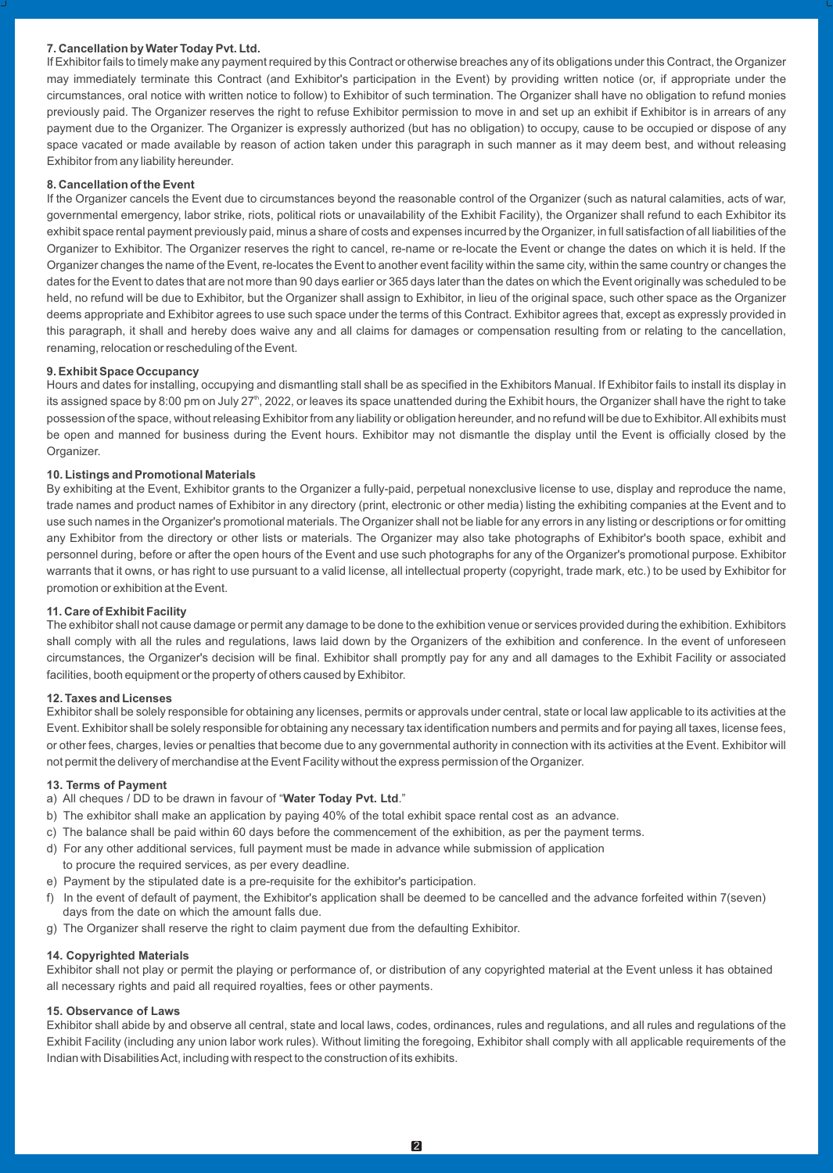## **7. Cancellation by Water Today Pvt. Ltd.**

If Exhibitor fails to timely make any payment required by this Contract or otherwise breaches any of its obligations under this Contract, the Organizer may immediately terminate this Contract (and Exhibitor's participation in the Event) by providing written notice (or, if appropriate under the circumstances, oral notice with written notice to follow) to Exhibitor of such termination. The Organizer shall have no obligation to refund monies previously paid. The Organizer reserves the right to refuse Exhibitor permission to move in and set up an exhibit if Exhibitor is in arrears of any payment due to the Organizer. The Organizer is expressly authorized (but has no obligation) to occupy, cause to be occupied or dispose of any space vacated or made available by reason of action taken under this paragraph in such manner as it may deem best, and without releasing Exhibitor from any liability hereunder.

#### **8. Cancellation of the Event**

If the Organizer cancels the Event due to circumstances beyond the reasonable control of the Organizer (such as natural calamities, acts of war, governmental emergency, labor strike, riots, political riots or unavailability of the Exhibit Facility), the Organizer shall refund to each Exhibitor its exhibit space rental payment previously paid, minus a share of costs and expenses incurred by the Organizer, in full satisfaction of all liabilities of the Organizer to Exhibitor. The Organizer reserves the right to cancel, re-name or re-locate the Event or change the dates on which it is held. If the Organizer changes the name of the Event, re-locates the Event to another event facility within the same city, within the same country or changes the dates for the Event to dates that are not more than 90 days earlier or 365 days later than the dates on which the Event originally was scheduled to be held, no refund will be due to Exhibitor, but the Organizer shall assign to Exhibitor, in lieu of the original space, such other space as the Organizer deems appropriate and Exhibitor agrees to use such space under the terms of this Contract. Exhibitor agrees that, except as expressly provided in this paragraph, it shall and hereby does waive any and all claims for damages or compensation resulting from or relating to the cancellation, renaming, relocation or rescheduling of the Event.

#### **9. Exhibit Space Occupancy**

Hours and dates for installing, occupying and dismantling stall shall be as specified in the Exhibitors Manual. If Exhibitor fails to install its display in its assigned space by 8:00 pm on July 27<sup>th</sup>, 2022, or leaves its space unattended during the Exhibit hours, the Organizer shall have the right to take possession of the space, without releasing Exhibitor from any liability or obligation hereunder, and no refund will be due to Exhibitor. All exhibits must be open and manned for business during the Event hours. Exhibitor may not dismantle the display until the Event is officially closed by the Organizer

## **10. Listings and Promotional Materials**

By exhibiting at the Event, Exhibitor grants to the Organizer a fully-paid, perpetual nonexclusive license to use, display and reproduce the name, trade names and product names of Exhibitor in any directory (print, electronic or other media) listing the exhibiting companies at the Event and to use such names in the Organizer's promotional materials. The Organizer shall not be liable for any errors in any listing or descriptions or for omitting any Exhibitor from the directory or other lists or materials. The Organizer may also take photographs of Exhibitor's booth space, exhibit and personnel during, before or after the open hours of the Event and use such photographs for any of the Organizer's promotional purpose. Exhibitor warrants that it owns, or has right to use pursuant to a valid license, all intellectual property (copyright, trade mark, etc.) to be used by Exhibitor for promotion or exhibition at the Event.

#### **11. Care of Exhibit Facility**

The exhibitor shall not cause damage or permit any damage to be done to the exhibition venue or services provided during the exhibition. Exhibitors shall comply with all the rules and regulations, laws laid down by the Organizers of the exhibition and conference. In the event of unforeseen circumstances, the Organizer's decision will be final. Exhibitor shall promptly pay for any and all damages to the Exhibit Facility or associated facilities, booth equipment or the property of others caused by Exhibitor.

#### **12. Taxes and Licenses**

Exhibitor shall be solely responsible for obtaining any licenses, permits or approvals under central, state or local law applicable to its activities at the Event. Exhibitor shall be solely responsible for obtaining any necessary tax identification numbers and permits and for paying all taxes, license fees, or other fees, charges, levies or penalties that become due to any governmental authority in connection with its activities at the Event. Exhibitor will not permit the delivery of merchandise at the Event Facility without the express permission of the Organizer.

#### **13. Terms of Payment**

a) All cheques / DD to be drawn in favour of "**Water Today Pvt. Ltd**."

- b) The exhibitor shall make an application by paying 40% of the total exhibit space rental cost as an advance.
- c) The balance shall be paid within 60 days before the commencement of the exhibition, as per the payment terms.
- d) For any other additional services, full payment must be made in advance while submission of application
- to procure the required services, as per every deadline.
- e) Payment by the stipulated date is a pre-requisite for the exhibitor's participation.
- f) In the event of default of payment, the Exhibitor's application shall be deemed to be cancelled and the advance forfeited within 7(seven) days from the date on which the amount falls due.
- g) The Organizer shall reserve the right to claim payment due from the defaulting Exhibitor.

## **14. Copyrighted Materials**

Exhibitor shall not play or permit the playing or performance of, or distribution of any copyrighted material at the Event unless it has obtained all necessary rights and paid all required royalties, fees or other payments.

## **15. Observance of Laws**

Exhibitor shall abide by and observe all central, state and local laws, codes, ordinances, rules and regulations, and all rules and regulations of the Exhibit Facility (including any union labor work rules). Without limiting the foregoing, Exhibitor shall comply with all applicable requirements of the Indian with Disabilities Act, including with respect to the construction of its exhibits.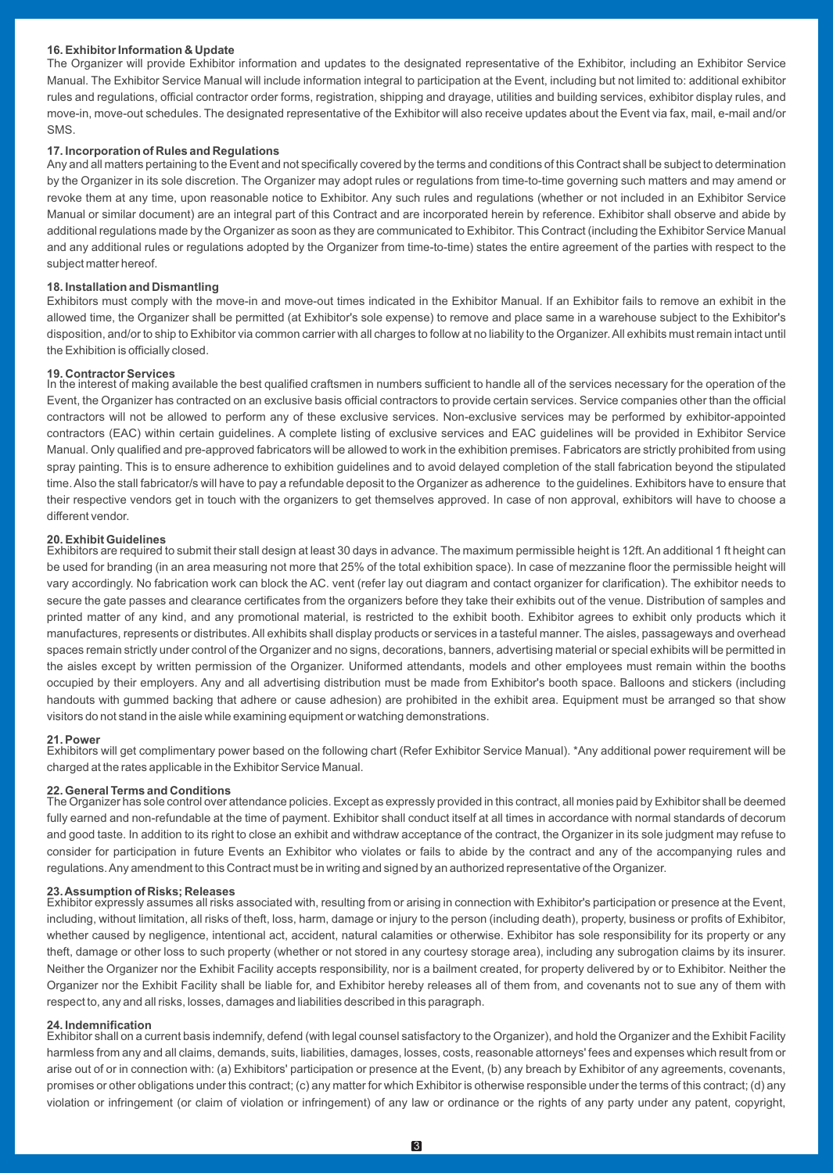#### **16. Exhibitor Information & Update**

The Organizer will provide Exhibitor information and updates to the designated representative of the Exhibitor, including an Exhibitor Service Manual. The Exhibitor Service Manual will include information integral to participation at the Event, including but not limited to: additional exhibitor rules and regulations, official contractor order forms, registration, shipping and drayage, utilities and building services, exhibitor display rules, and move-in, move-out schedules. The designated representative of the Exhibitor will also receive updates about the Event via fax, mail, e-mail and/or SMS.

#### **17. Incorporation of Rules and Regulations**

Any and all matters pertaining to the Event and not specifically covered by the terms and conditions of this Contract shall be subject to determination by the Organizer in its sole discretion. The Organizer may adopt rules or regulations from time-to-time governing such matters and may amend or revoke them at any time, upon reasonable notice to Exhibitor. Any such rules and regulations (whether or not included in an Exhibitor Service Manual or similar document) are an integral part of this Contract and are incorporated herein by reference. Exhibitor shall observe and abide by additional regulations made by the Organizer as soon as they are communicated to Exhibitor. This Contract (including the Exhibitor Service Manual and any additional rules or regulations adopted by the Organizer from time-to-time) states the entire agreement of the parties with respect to the subject matter hereof.

#### **18. Installation and Dismantling**

Exhibitors must comply with the move-in and move-out times indicated in the Exhibitor Manual. If an Exhibitor fails to remove an exhibit in the allowed time, the Organizer shall be permitted (at Exhibitor's sole expense) to remove and place same in a warehouse subject to the Exhibitor's disposition, and/or to ship to Exhibitor via common carrier with all charges to follow at no liability to the Organizer. All exhibits must remain intact until the Exhibition is officially closed.

**19. Contractor Services**<br>In the interest of making available the best qualified craftsmen in numbers sufficient to handle all of the services necessary for the operation of the Event, the Organizer has contracted on an exclusive basis official contractors to provide certain services. Service companies other than the official contractors will not be allowed to perform any of these exclusive services. Non-exclusive services may be performed by exhibitor-appointed contractors (EAC) within certain guidelines. A complete listing of exclusive services and EAC guidelines will be provided in Exhibitor Service Manual. Only qualified and pre-approved fabricators will be allowed to work in the exhibition premises. Fabricators are strictly prohibited from using spray painting. This is to ensure adherence to exhibition guidelines and to avoid delayed completion of the stall fabrication beyond the stipulated time. Also the stall fabricator/s will have to pay a refundable deposit to the Organizer as adherence to the guidelines. Exhibitors have to ensure that their respective vendors get in touch with the organizers to get themselves approved. In case of non approval, exhibitors will have to choose a different vendor.

#### **20. Exhibit Guidelines**

Exhibitors are required to submit their stall design at least 30 days in advance. The maximum permissible height is 12ft. An additional 1 ft height can be used for branding (in an area measuring not more that 25% of the total exhibition space). In case of mezzanine floor the permissible height will vary accordingly. No fabrication work can block the AC. vent (refer lay out diagram and contact organizer for clarification). The exhibitor needs to secure the gate passes and clearance certificates from the organizers before they take their exhibits out of the venue. Distribution of samples and printed matter of any kind, and any promotional material, is restricted to the exhibit booth. Exhibitor agrees to exhibit only products which it manufactures, represents or distributes. All exhibits shall display products or services in a tasteful manner. The aisles, passageways and overhead spaces remain strictly under control of the Organizer and no signs, decorations, banners, advertising material or special exhibits will be permitted in the aisles except by written permission of the Organizer. Uniformed attendants, models and other employees must remain within the booths occupied by their employers. Any and all advertising distribution must be made from Exhibitor's booth space. Balloons and stickers (including handouts with gummed backing that adhere or cause adhesion) are prohibited in the exhibit area. Equipment must be arranged so that show visitors do not stand in the aisle while examining equipment or watching demonstrations.

#### **21. Power**

Exhibitors will get complimentary power based on the following chart (Refer Exhibitor Service Manual). \*Any additional power requirement will be charged at the rates applicable in the Exhibitor Service Manual.

#### **22. General Terms and Conditions**

The Organizer has sole control over attendance policies. Except as expressly provided in this contract, all monies paid by Exhibitor shall be deemed fully earned and non-refundable at the time of payment. Exhibitor shall conduct itself at all times in accordance with normal standards of decorum and good taste. In addition to its right to close an exhibit and withdraw acceptance of the contract, the Organizer in its sole judgment may refuse to consider for participation in future Events an Exhibitor who violates or fails to abide by the contract and any of the accompanying rules and regulations. Any amendment to this Contract must be in writing and signed by an authorized representative of the Organizer.

**23. Assumption of Risks; Releases** Exhibitor expressly assumes all risks associated with, resulting from or arising in connection with Exhibitor's participation or presence at the Event, including, without limitation, all risks of theft, loss, harm, damage or injury to the person (including death), property, business or profits of Exhibitor, whether caused by negligence, intentional act, accident, natural calamities or otherwise. Exhibitor has sole responsibility for its property or any theft, damage or other loss to such property (whether or not stored in any courtesy storage area), including any subrogation claims by its insurer. Neither the Organizer nor the Exhibit Facility accepts responsibility, nor is a bailment created, for property delivered by or to Exhibitor. Neither the Organizer nor the Exhibit Facility shall be liable for, and Exhibitor hereby releases all of them from, and covenants not to sue any of them with respect to, any and all risks, losses, damages and liabilities described in this paragraph.

#### **24. Indemnification**

Exhibitor shall on a current basis indemnify, defend (with legal counsel satisfactory to the Organizer), and hold the Organizer and the Exhibit Facility harmless from any and all claims, demands, suits, liabilities, damages, losses, costs, reasonable attorneys' fees and expenses which result from or arise out of or in connection with: (a) Exhibitors' participation or presence at the Event, (b) any breach by Exhibitor of any agreements, covenants, promises or other obligations under this contract; (c) any matter for which Exhibitor is otherwise responsible under the terms of this contract; (d) any violation or infringement (or claim of violation or infringement) of any law or ordinance or the rights of any party under any patent, copyright,